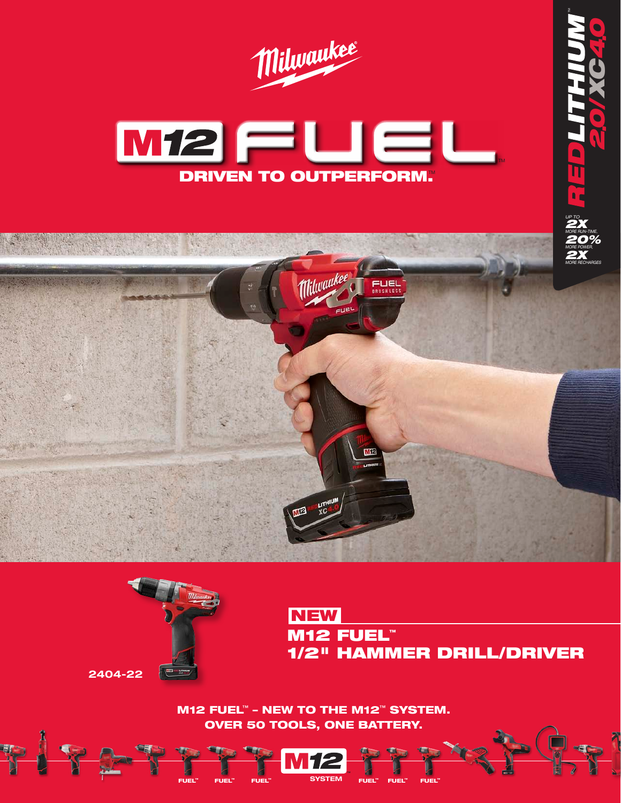





**NEW** M12 FUEL™ 1/2" HAMMER DRILL/DRIVER

P.

*XC4*

*20/ .*

*0.*

M12 FUEL™ – NEW TO THE M12™ SYSTEM. OVER 50 TOOLS, ONE BATTERY.<br>
THE MIZE TO THE TOOLS, ONE BATTERY.

™ FUEL™ FUEL™ SYSTEM FUEL™ FUEL™ FUEL™<br>FUEL™ FUEL™ FUEL™ SYSTEM FUEL™ FUEL™ FUEL™